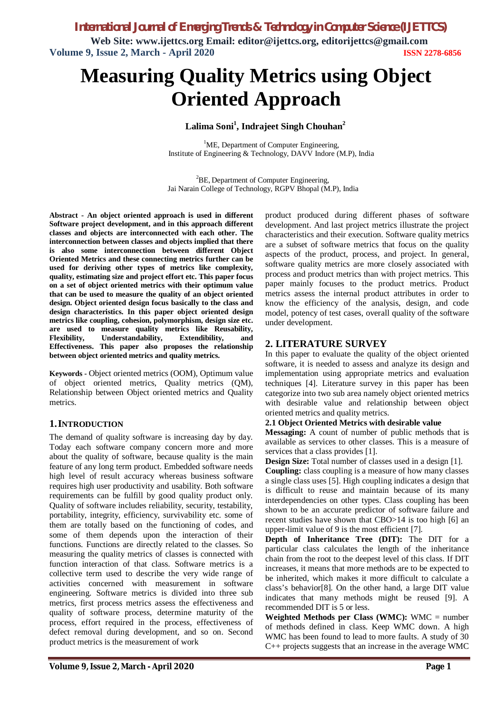**Web Site: www.ijettcs.org Email: editor@ijettcs.org, [editorijettcs@gmail.com](mailto:editorijettcs@gmail.com)  Volume 9, Issue 2, March - April 2020 ISSN 2278-6856**

# **Measuring Quality Metrics using Object Oriented Approach**

## **Lalima Soni<sup>1</sup> , Indrajeet Singh Chouhan<sup>2</sup>**

<sup>1</sup>ME, Department of Computer Engineering, Institute of Engineering & Technology, DAVV Indore (M.P), India

<sup>2</sup>BE, Department of Computer Engineering, Jai Narain College of Technology, RGPV Bhopal (M.P), India

**Abstract** *-* **An object oriented approach is used in different Software project development, and in this approach different classes and objects are interconnected with each other. The interconnection between classes and objects implied that there is also some interconnection between different Object Oriented Metrics and these connecting metrics further can be used for deriving other types of metrics like complexity, quality, estimating size and project effort etc. This paper focus on a set of object oriented metrics with their optimum value that can be used to measure the quality of an object oriented design. Object oriented design focus basically to the class and design characteristics. In this paper object oriented design metrics like coupling, cohesion, polymorphism, design size etc. are used to measure quality metrics like Reusability, Flexibility, Understandability, Extendibility, and Effectiveness. This paper also proposes the relationship between object oriented metrics and quality metrics.** 

**Keywords -** Object oriented metrics (OOM), Optimum value of object oriented metrics, Quality metrics (QM), Relationship between Object oriented metrics and Quality metrics.

## **1.INTRODUCTION**

The demand of quality software is increasing day by day. Today each software company concern more and more about the quality of software, because quality is the main feature of any long term product. Embedded software needs high level of result accuracy whereas business software requires high user productivity and usability. Both software requirements can be fulfill by good quality product only. Quality of software includes reliability, security, testability, portability, integrity, efficiency, survivability etc. some of them are totally based on the functioning of codes, and some of them depends upon the interaction of their functions. Functions are directly related to the classes. So measuring the quality metrics of classes is connected with function interaction of that class. Software metrics is a collective term used to describe the very wide range of activities concerned with measurement in software engineering. Software metrics is divided into three sub metrics, first process metrics assess the effectiveness and quality of software process, determine maturity of the process, effort required in the process, effectiveness of defect removal during development, and so on. Second product metrics is the measurement of work

product produced during different phases of software development. And last project metrics illustrate the project characteristics and their execution. Software quality metrics are a subset of software metrics that focus on the quality aspects of the product, process, and project. In general, software quality metrics are more closely associated with process and product metrics than with project metrics. This paper mainly focuses to the product metrics. Product metrics assess the internal product attributes in order to know the efficiency of the analysis, design, and code model, potency of test cases, overall quality of the software under development.

## **2. LITERATURE SURVEY**

In this paper to evaluate the quality of the object oriented software, it is needed to assess and analyze its design and implementation using appropriate metrics and evaluation techniques [4]. Literature survey in this paper has been categorize into two sub area namely object oriented metrics with desirable value and relationship between object oriented metrics and quality metrics.

#### **2.1 Object Oriented Metrics with desirable value**

**Messaging:** A count of number of public methods that is available as services to other classes. This is a measure of services that a class provides [1].

**Design Size:** Total number of classes used in a design [1].

**Coupling:** class coupling is a measure of how many classes a single class uses [5]. High coupling indicates a design that is difficult to reuse and maintain because of its many interdependencies on other types. Class coupling has been shown to be an accurate predictor of software failure and recent studies have shown that CBO>14 is too high [6] an upper-limit value of 9 is the most efficient [7].

**Depth of Inheritance Tree (DIT):** The DIT for a particular class calculates the length of the inheritance chain from the root to the deepest level of this class. If DIT increases, it means that more methods are to be expected to be inherited, which makes it more difficult to calculate a class's behavior[8]. On the other hand, a large DIT value indicates that many methods might be reused [9]. A recommended DIT is 5 or less.

**Weighted Methods per Class (WMC):** WMC = number of methods defined in class. Keep WMC down. A high WMC has been found to lead to more faults. A study of 30 C++ projects suggests that an increase in the average WMC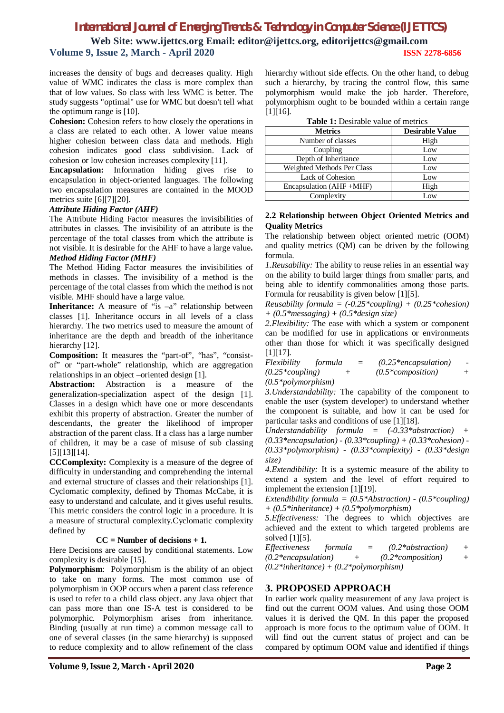**Web Site: www.ijettcs.org Email: editor@ijettcs.org, [editorijettcs@gmail.com](mailto:editorijettcs@gmail.com)  Volume 9, Issue 2, March - April 2020 ISSN 2278-6856**

increases the density of bugs and decreases quality. High value of WMC indicates the class is more complex than that of low values. So class with less WMC is better. The study suggests "optimal" use for WMC but doesn't tell what the optimum range is [10].

**Cohesion:** Cohesion refers to how closely the operations in a class are related to each other. A lower value means higher cohesion between class data and methods. High cohesion indicates good class subdivision. Lack of cohesion or low cohesion increases complexity [11].

**Encapsulation:** Information hiding gives rise to encapsulation in object-oriented languages. The following two encapsulation measures are contained in the MOOD metrics suite [6][7][20].

#### *Attribute Hiding Factor (AHF)*

The Attribute Hiding Factor measures the invisibilities of attributes in classes. The invisibility of an attribute is the percentage of the total classes from which the attribute is not visible. It is desirable for the AHF to have a large value**.** 

#### *Method Hiding Factor (MHF)*

The Method Hiding Factor measures the invisibilities of methods in classes. The invisibility of a method is the percentage of the total classes from which the method is not visible. MHF should have a large value.

**Inheritance:** A measure of "is  $-a$ " relationship between classes [1]. Inheritance occurs in all levels of a class hierarchy. The two metrics used to measure the amount of inheritance are the depth and breadth of the inheritance hierarchy [12].

**Composition:** It measures the "part-of", "has", "consistof" or "part-whole" relationship, which are aggregation relationships in an object –oriented design [1].

**Abstraction:** Abstraction is a measure of the generalization-specialization aspect of the design [1]. Classes in a design which have one or more descendants exhibit this property of abstraction. Greater the number of descendants, the greater the likelihood of improper abstraction of the parent class. If a class has a large number of children, it may be a case of misuse of sub classing [5][13][14].

**CCComplexity:** Complexity is a measure of the degree of difficulty in understanding and comprehending the internal and external structure of classes and their relationships [1]. Cyclomatic complexity, defined by Thomas McCabe, it is easy to understand and calculate, and it gives useful results. This metric considers the control logic in a procedure. It is a measure of structural complexity.Cyclomatic complexity defined by

#### **CC = Number of decisions + 1.**

Here Decisions are caused by conditional statements. Low complexity is desirable [15].

**Polymorphism**: Polymorphism is the ability of an object to take on many forms. The most common use of polymorphism in OOP occurs when a parent class reference is used to refer to a child class object. any Java object that can pass more than one IS-A test is considered to be polymorphic. Polymorphism arises from inheritance. Binding (usually at run time) a common message call to one of several classes (in the same hierarchy) is supposed to reduce complexity and to allow refinement of the class

hierarchy without side effects. On the other hand, to debug such a hierarchy, by tracing the control flow, this same polymorphism would make the job harder. Therefore, polymorphism ought to be bounded within a certain range [1][16].

| <b>Table 1:</b> Desitable value of inetrics |                        |
|---------------------------------------------|------------------------|
| <b>Metrics</b>                              | <b>Desirable Value</b> |
| Number of classes                           | High                   |
| Coupling                                    | Low                    |
| Depth of Inheritance                        | Low                    |
| Weighted Methods Per Class                  | Low                    |
| Lack of Cohesion                            | Low                    |
| Encapsulation (AHF+MHF)                     | High                   |
| Complexity                                  | .ow                    |

**Table 1:** Desirable value of metrics

#### **2.2 Relationship between Object Oriented Metrics and Quality Metrics**

The relationship between object oriented metric (OOM) and quality metrics (QM) can be driven by the following formula.

*1.Reusability:* The ability to reuse relies in an essential way on the ability to build larger things from smaller parts, and being able to identify commonalities among those parts. Formula for reusability is given below [1][5].

*Reusability formula = (-0.25\*coupling) + (0.25\*cohesion) + (0.5\*messaging) + (0.5\*design size)* 

*2.Flexibility:* The ease with which a system or component can be modified for use in applications or environments other than those for which it was specifically designed [1][17].

*Flexibility formula = (0.25\*encapsulation) - (0.25\*coupling) + (0.5\*composition) + (0.5\*polymorphism)*

*3.Understandability:* The capability of the component to enable the user (system developer) to understand whether the component is suitable, and how it can be used for particular tasks and conditions of use [1][18].

*Understandability formula = (-0.33\*abstraction) + (0.33\*encapsulation) - (0.33\*coupling) + (0.33\*cohesion) - (0.33\*polymorphism) - (0.33\*complexity) - (0.33\*design size)*

*4.Extendibility:* It is a systemic measure of the ability to extend a system and the level of effort required to implement the extension [1][19].

*Extendibility formula = (0.5\*Abstraction) - (0.5\*coupling) + (0.5\*inheritance) + (0.5\*polymorphism)* 

*5.Effectiveness:* The degrees to which objectives are achieved and the extent to which targeted problems are solved [1][5].

*Effectiveness formula = (0.2\*abstraction) + (0.2\*encapsulation) + (0.2\*composition) + (0.2\*inheritance) + (0.2\*polymorphism)* 

# **3. PROPOSED APPROACH**

In earlier work quality measurement of any Java project is find out the current OOM values. And using those OOM values it is derived the QM. In this paper the proposed approach is more focus to the optimum value of OOM. It will find out the current status of project and can be compared by optimum OOM value and identified if things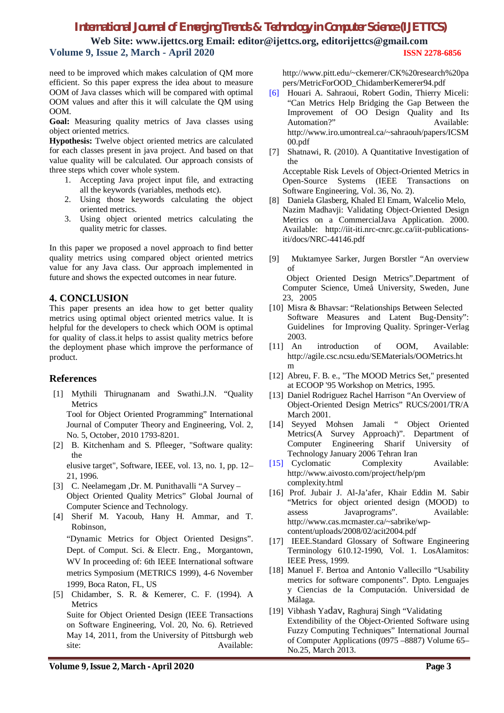**Web Site: www.ijettcs.org Email: editor@ijettcs.org, [editorijettcs@gmail.com](mailto:editorijettcs@gmail.com)  Volume 9, Issue 2, March - April 2020 ISSN 2278-6856**

need to be improved which makes calculation of QM more efficient. So this paper express the idea about to measure OOM of Java classes which will be compared with optimal OOM values and after this it will calculate the QM using OOM.

**Goal:** Measuring quality metrics of Java classes using object oriented metrics.

**Hypothesis:** Twelve object oriented metrics are calculated for each classes present in java project. And based on that value quality will be calculated. Our approach consists of three steps which cover whole system.

- 1. Accepting Java project input file, and extracting all the keywords (variables, methods etc).
- 2. Using those keywords calculating the object oriented metrics.
- 3. Using object oriented metrics calculating the quality metric for classes.

In this paper we proposed a novel approach to find better quality metrics using compared object oriented metrics value for any Java class. Our approach implemented in future and shows the expected outcomes in near future.

# **4. CONCLUSION**

This paper presents an idea how to get better quality metrics using optimal object oriented metrics value. It is helpful for the developers to check which OOM is optimal for quality of class.it helps to assist quality metrics before the deployment phase which improve the performance of product.

## **References**

[1] Mythili Thirugnanam and Swathi.J.N. "Quality Metrics

Tool for Object Oriented Programming" International Journal of Computer Theory and Engineering, Vol. 2, No. 5, October, 2010 1793-8201.

[2] B. Kitchenham and S. Pfleeger, "Software quality: the

elusive target", Software, IEEE, vol. 13, no. 1, pp. 12– 21, 1996.

- [3] C. Neelamegam ,Dr. M. Punithavalli "A Survey Object Oriented Quality Metrics" Global Journal of Computer Science and Technology.
- [4] Sherif M. Yacoub, Hany H. Ammar, and T. Robinson,

"Dynamic Metrics for Object Oriented Designs". Dept. of Comput. Sci. & Electr. Eng., Morgantown, WV In proceeding of: 6th IEEE International software metrics Symposium (METRICS 1999), 4-6 November 1999, Boca Raton, FL, US

[5] Chidamber, S. R. & Kemerer, C. F. (1994). A Metrics

Suite for Object Oriented Design (IEEE Transactions on Software Engineering, Vol. 20, No. 6). Retrieved May 14, 2011, from the University of Pittsburgh web site: Available:

<http://www.pitt.edu/~ckemerer/CK%20research%20pa> pers/MetricForOOD\_ChidamberKemerer94.pdf

- [6] Houari A. Sahraoui, Robert Godin, Thierry Miceli: "Can Metrics Help Bridging the Gap Between the Improvement of OO Design Quality and Its Automation?" Available: <http://www.iro.umontreal.ca/~sahraouh/papers/ICSM> 00.pdf
- [7] Shatnawi, R. (2010). A Quantitative Investigation of the Acceptable Risk Levels of Object-Oriented Metrics in

Open-Source Systems (IEEE Transactions on Software Engineering, Vol. 36, No. 2).

- [8] Daniela Glasberg, Khaled El Emam, Walcelio Melo, Nazim Madhavji: Validating Object-Oriented Design Metrics on a CommercialJava Application. 2000. Available: [http://iit-iti.nrc-cnrc.gc.ca/iit-publications](http://iit-iti.nrc-cnrc.gc.ca/iit-publications-)iti/docs/NRC-44146.pdf
- [9] Muktamyee Sarker, Jurgen Borstler "An overview of Object Oriented Design Metrics".Department of Computer Science, Umeå University, Sweden, June 23, 2005
- [10] Misra & Bhavsar: "Relationships Between Selected Software Measures and Latent Bug-Density": Guidelines for Improving Quality. Springer-Verlag 2003.
- [11] An introduction of OOM, Available: <http://agile.csc.ncsu.edu/SEMaterials/OOMetrics.ht> m
- [12] Abreu, F. B. e., "The MOOD Metrics Set," presented at ECOOP '95 Workshop on Metrics, 1995.
- [13] Daniel Rodriguez Rachel Harrison "An Overview of Object-Oriented Design Metrics" RUCS/2001/TR/A March 2001.
- [14] Seyyed Mohsen Jamali " Object Oriented Metrics(A Survey Approach)". Department of Computer Engineering Sharif University of Technology January 2006 Tehran Iran
- [15] Cyclomatic Complexity Available: <http://www.aivosto.com/project/help/pm> complexity.html
- [16] Prof. Jubair J. Al-Ja'afer, Khair Eddin M. Sabir "Metrics for object oriented design (MOOD) to assess Javaprograms". Available: [http://www.cas.mcmaster.ca/~sabrike/wp](http://www.cas.mcmaster.ca/~sabrike/wp-)content/uploads/2008/02/acit2004.pdf
- [17] IEEE.Standard Glossary of Software Engineering Terminology 610.12-1990, Vol. 1. LosAlamitos: IEEE Press, 1999.
- [18] Manuel F. Bertoa and Antonio Vallecillo "Usability metrics for software components". Dpto. Lenguajes y Ciencias de la Computación. Universidad de Málaga.
- [19] Vibhash Yadav, Raghuraj Singh "Validating Extendibility of the Object-Oriented Software using Fuzzy Computing Techniques" International Journal of Computer Applications (0975 –8887) Volume 65– No.25, March 2013.